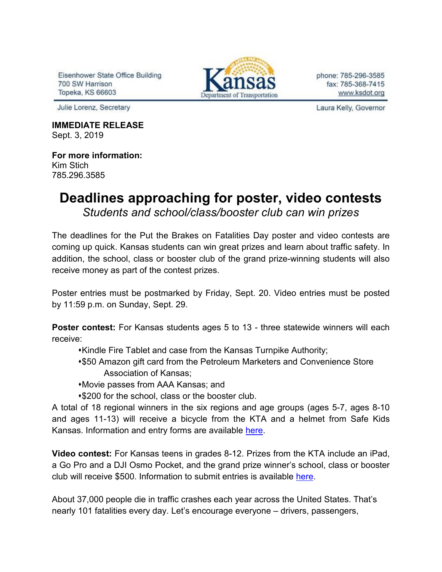Eisenhower State Office Building 700 SW Harrison Topeka, KS 66603



phone: 785-296-3585 fax: 785-368-7415 www.ksdot.org

Julie Lorenz, Secretary

**IMMEDIATE RELEASE** Sept. 3, 2019

## **For more information:** Kim Stich 785.296.3585

## **Deadlines approaching for poster, video contests** *Students and school/class/booster club can win prizes*

The deadlines for the Put the Brakes on Fatalities Day poster and video contests are coming up quick. Kansas students can win great prizes and learn about traffic safety. In addition, the school, class or booster club of the grand prize-winning students will also receive money as part of the contest prizes.

Poster entries must be postmarked by Friday, Sept. 20. Video entries must be posted by 11:59 p.m. on Sunday, Sept. 29.

**Poster contest:** For Kansas students ages 5 to 13 - three statewide winners will each receive:

- Kindle Fire Tablet and case from the Kansas Turnpike Authority;
- \$50 Amazon gift card from the Petroleum Marketers and Convenience Store Association of Kansas;
- Movie passes from AAA Kansas; and
- **\*\$200 for the school, class or the booster club.**

A total of 18 regional winners in the six regions and age groups (ages 5-7, ages 8-10 and ages 11-13) will receive a bicycle from the KTA and a helmet from Safe Kids Kansas. Information and entry forms are available [here.](http://www.ksdot.org/Assets/wwwksdotorg/events/brakesonfatalities/2019PBFDPosterContestGOOD.pdf)

**Video contest:** For Kansas teens in grades 8-12. Prizes from the KTA include an iPad, a Go Pro and a DJI Osmo Pocket, and the grand prize winner's school, class or booster club will receive \$500. Information to submit entries is available [here.](https://www.ksturnpike.com/contests)

About 37,000 people die in traffic crashes each year across the United States. That's nearly 101 fatalities every day. Let's encourage everyone – drivers, passengers,

Laura Kelly, Governor